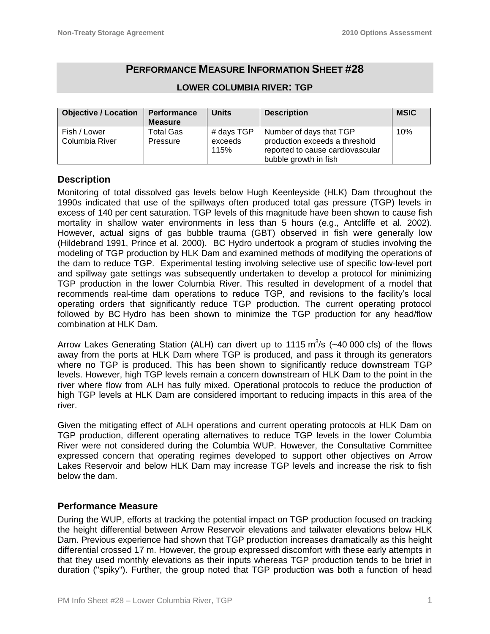# **PERFORMANCE MEASURE INFORMATION SHEET #28**

| <b>Objective / Location</b> | <b>Performance</b> | <b>Units</b> | <b>Description</b>               | <b>MSIC</b> |
|-----------------------------|--------------------|--------------|----------------------------------|-------------|
|                             | <b>Measure</b>     |              |                                  |             |
| Fish / Lower                | Total Gas          | # days TGP   | Number of days that TGP          | 10%         |
| Columbia River              | Pressure           | exceeds      | production exceeds a threshold   |             |
|                             |                    | 115%         | reported to cause cardiovascular |             |
|                             |                    |              | bubble growth in fish            |             |

#### **LOWER COLUMBIA RIVER: TGP**

# **Description**

Monitoring of total dissolved gas levels below Hugh Keenleyside (HLK) Dam throughout the 1990s indicated that use of the spillways often produced total gas pressure (TGP) levels in excess of 140 per cent saturation. TGP levels of this magnitude have been shown to cause fish mortality in shallow water environments in less than 5 hours (e.g., Antcliffe et al. 2002). However, actual signs of gas bubble trauma (GBT) observed in fish were generally low (Hildebrand 1991, Prince et al. 2000). BC Hydro undertook a program of studies involving the modeling of TGP production by HLK Dam and examined methods of modifying the operations of the dam to reduce TGP. Experimental testing involving selective use of specific low-level port and spillway gate settings was subsequently undertaken to develop a protocol for minimizing TGP production in the lower Columbia River. This resulted in development of a model that recommends real-time dam operations to reduce TGP, and revisions to the facility's local operating orders that significantly reduce TGP production. The current operating protocol followed by BC Hydro has been shown to minimize the TGP production for any head/flow combination at HLK Dam.

Arrow Lakes Generating Station (ALH) can divert up to 1115  $\text{m}^3\text{/s}$  (~40 000 cfs) of the flows away from the ports at HLK Dam where TGP is produced, and pass it through its generators where no TGP is produced. This has been shown to significantly reduce downstream TGP levels. However, high TGP levels remain a concern downstream of HLK Dam to the point in the river where flow from ALH has fully mixed. Operational protocols to reduce the production of high TGP levels at HLK Dam are considered important to reducing impacts in this area of the river.

Given the mitigating effect of ALH operations and current operating protocols at HLK Dam on TGP production, different operating alternatives to reduce TGP levels in the lower Columbia River were not considered during the Columbia WUP. However, the Consultative Committee expressed concern that operating regimes developed to support other objectives on Arrow Lakes Reservoir and below HLK Dam may increase TGP levels and increase the risk to fish below the dam.

# **Performance Measure**

During the WUP, efforts at tracking the potential impact on TGP production focused on tracking the height differential between Arrow Reservoir elevations and tailwater elevations below HLK Dam. Previous experience had shown that TGP production increases dramatically as this height differential crossed 17 m. However, the group expressed discomfort with these early attempts in that they used monthly elevations as their inputs whereas TGP production tends to be brief in duration ("spiky"). Further, the group noted that TGP production was both a function of head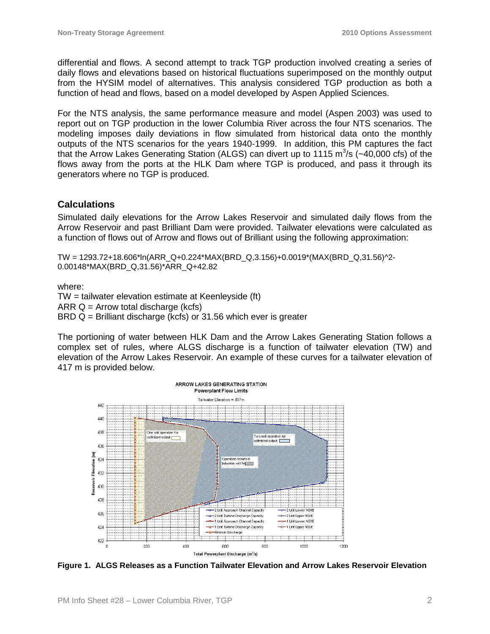differential and flows. A second attempt to track TGP production involved creating a series of daily flows and elevations based on historical fluctuations superimposed on the monthly output from the HYSIM model of alternatives. This analysis considered TGP production as both a function of head and flows, based on a model developed by Aspen Applied Sciences.

For the NTS analysis, the same performance measure and model (Aspen 2003) was used to report out on TGP production in the lower Columbia River across the four NTS scenarios. The modeling imposes daily deviations in flow simulated from historical data onto the monthly outputs of the NTS scenarios for the years 1940-1999. In addition, this PM captures the fact that the Arrow Lakes Generating Station (ALGS) can divert up to 1115 m<sup>3</sup>/s (~40,000 cfs) of the flows away from the ports at the HLK Dam where TGP is produced, and pass it through its generators where no TGP is produced.

### **Calculations**

Simulated daily elevations for the Arrow Lakes Reservoir and simulated daily flows from the Arrow Reservoir and past Brilliant Dam were provided. Tailwater elevations were calculated as a function of flows out of Arrow and flows out of Brilliant using the following approximation:

TW = 1293.72+18.606\*ln(ARR\_Q+0.224\*MAX(BRD\_Q,3.156)+0.0019\*(MAX(BRD\_Q,31.56)^2- 0.00148\*MAX(BRD\_Q,31.56)\*ARR\_Q+42.82

where:

TW = tailwater elevation estimate at Keenleyside (ft) ARR  $Q =$  Arrow total discharge (kcfs)  $BRD Q = Brilliant$  discharge (kcfs) or 31.56 which ever is greater

The portioning of water between HLK Dam and the Arrow Lakes Generating Station follows a complex set of rules, where ALGS discharge is a function of tailwater elevation (TW) and elevation of the Arrow Lakes Reservoir. An example of these curves for a tailwater elevation of 417 m is provided below.



**Figure 1. ALGS Releases as a Function Tailwater Elevation and Arrow Lakes Reservoir Elevation**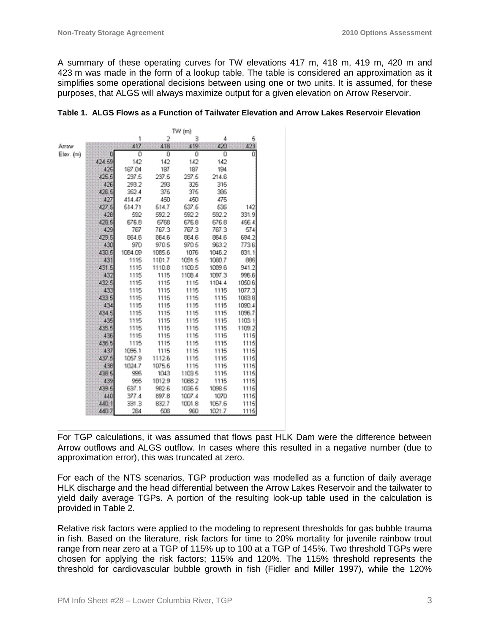A summary of these operating curves for TW elevations 417 m, 418 m, 419 m, 420 m and 423 m was made in the form of a lookup table. The table is considered an approximation as it simplifies some operational decisions between using one or two units. It is assumed, for these purposes, that ALGS will always maximize output for a given elevation on Arrow Reservoir.

|           |        |         | a na Tinà |        |        |        |  |  |
|-----------|--------|---------|-----------|--------|--------|--------|--|--|
|           |        | 1       | 2         | з      | 4      | 6      |  |  |
| Arrow     |        | 417.    | 418       | 419    | 420    | 423    |  |  |
| Elev. (m) |        | Ŭ       | 0         | Ŭ      | û      | ū      |  |  |
|           | 424.59 | 142     | 142       | 142    | 142    |        |  |  |
|           | 425    | 187.04  | 187       | 187    | 194    |        |  |  |
|           | 425.5  | 237.5   | 237.5     | 237.5  | 214.6  |        |  |  |
|           | 426    | 293.2   | 283       | 326    | 316    |        |  |  |
|           | 426.5  | 362.4   | 375       | 375    | 395    |        |  |  |
|           | 427    | 414.47  | 450       | 450    | 475    |        |  |  |
|           | 427.5  | 514.71  | 514.7     | 537.5  | 535    | 142    |  |  |
|           | 428    | 592     | 592.2     | 592.2  | 592.2  | 331.9  |  |  |
|           | 428.5  | 676.8   | 6768      | 676.8  | 676.8  | 456.4  |  |  |
|           | 429    | 767     | 767.3     | 767.3  | 767.3  | 574    |  |  |
|           | 429.5  | BE4.6   | 864.6     | 864.6  | 864.6  | 694.2  |  |  |
|           | 430    | 970     | 970.5     | 970.5  | 963.2  | 7736   |  |  |
|           | 430.6  | 1084.09 | 1085.6    | 1076   | 1046.2 | 831.1  |  |  |
|           | 431    | 1115    | 1101.7    | 1091.5 | 1060.7 | 886    |  |  |
|           | 431.5  | 1115    | 1110.8    | 1100.5 | 1089.6 | 941.2  |  |  |
|           | 432    | 1115    | 1135      | 1108.4 | 1097.3 | 996.6  |  |  |
|           | 432.5  | 1115    | 1115      | 1115   | 1104.4 | 1050.6 |  |  |
|           | 433    | 1115    | 1115      | 1115   | 1115   | 1077.3 |  |  |
|           | 433 5  | 1115    | 1115      | 1115   | 1115   | 1063.8 |  |  |
|           | 434    | 1115    | 1115      | 1115   | 1115   | 1090.4 |  |  |
|           | 434.5  | 1115    | 1135      | 1115   | 1115   | 1096.7 |  |  |
|           | 435    | 1115    | 1115      | 1115   | 1115   | 1103.1 |  |  |
|           | 435.5  | 1115    | 1115      | 1115   | 1115   | 1109.2 |  |  |
|           | 436    | 1115    | 1115      | 1115   | 1115   | 1115   |  |  |
|           | 436.5  | 1115    | 1135      | 1115   | 1115   | 1115   |  |  |
|           | 437    | 1096.1  | 1115      | 1115   | 1115   | 1115   |  |  |
|           | 437.5  | 1057.9  | 1112.6    | 1115   | 1115   | 1115   |  |  |
|           | 438    | 1024.7  | 1075.6    | 1116   | 1116   | 1116   |  |  |
|           | 438.5  | 995     | 1043      | 1103.5 | 1115   | 1115   |  |  |
|           | 439    | 955     | 1012.9    | 1068.2 | 1115   | 1115   |  |  |
|           | 439.5  | 637.1   | 982.6     | 1036.5 | 1098.5 | 1115   |  |  |
|           | 440    | 377.4   | 897.8     | 1007.4 | 1070   | 1115   |  |  |
|           | 440.1  | 331.3   | 832.7     | 1001.8 | 1057.6 | 11153  |  |  |
|           | 440.7  | 284     | 508       | 960    | 1021.7 | 1115   |  |  |

Third Good

|  | Table 1. ALGS Flows as a Function of Tailwater Elevation and Arrow Lakes Reservoir Elevation |  |  |  |
|--|----------------------------------------------------------------------------------------------|--|--|--|
|  |                                                                                              |  |  |  |

For TGP calculations, it was assumed that flows past HLK Dam were the difference between Arrow outflows and ALGS outflow. In cases where this resulted in a negative number (due to approximation error), this was truncated at zero.

For each of the NTS scenarios, TGP production was modelled as a function of daily average HLK discharge and the head differential between the Arrow Lakes Reservoir and the tailwater to yield daily average TGPs. A portion of the resulting look-up table used in the calculation is provided in Table 2.

Relative risk factors were applied to the modeling to represent thresholds for gas bubble trauma in fish. Based on the literature, risk factors for time to 20% mortality for juvenile rainbow trout range from near zero at a TGP of 115% up to 100 at a TGP of 145%. Two threshold TGPs were chosen for applying the risk factors; 115% and 120%. The 115% threshold represents the threshold for cardiovascular bubble growth in fish (Fidler and Miller 1997), while the 120%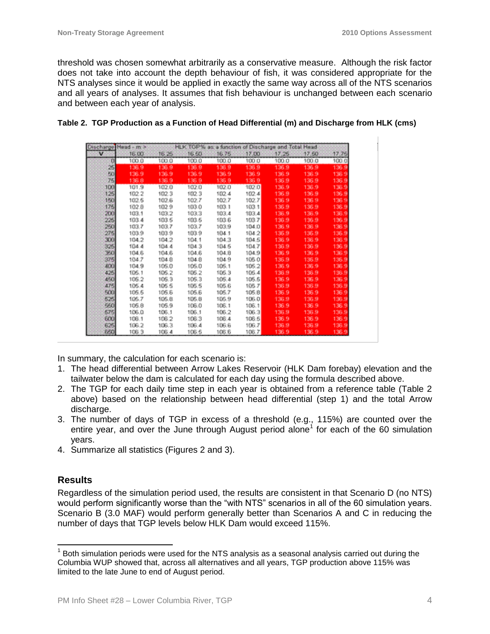threshold was chosen somewhat arbitrarily as a conservative measure. Although the risk factor does not take into account the depth behaviour of fish, it was considered appropriate for the NTS analyses since it would be applied in exactly the same way across all of the NTS scenarios and all years of analyses. It assumes that fish behaviour is unchanged between each scenario and between each year of analysis.

| Discharge       | Head - m > |       | <b>HLK TGP%</b> |       | as a function of Discharge and Total Head |       |        |       |
|-----------------|------------|-------|-----------------|-------|-------------------------------------------|-------|--------|-------|
| v               | 16.00      | 16.25 | 16.50           | 16.75 | 17.00                                     | 47.25 | .17.60 | 17.75 |
| o               | 100.0      | 100.0 | 100.0           | 100.0 | 100.0                                     | 100.0 | 100.0  | 100.0 |
| 25              | 136.9      | 136.9 | 136.9           | 136.9 | 136.9                                     | 136.9 | 136.9  | 136.9 |
| FO <sub>1</sub> | 136.9      | 136.9 | 136.9           | 136.9 | 136.9                                     | 136.9 | 136.9  | 136.9 |
| 75              | 136.8      | 136.9 | 136.9           | 136.9 | 136.9                                     | 136.9 | 136.9  | 136.9 |
| 100             | 101.9      | 102.0 | 102.0           | 102.0 | 182.0                                     | 136.9 | 136.9  | 136.9 |
| 125             | 102.2      | 102.3 | 102.3           | 102.4 | 102.4                                     | 136.9 | 136.9  | 136.9 |
| 150             | 102.5      | 102.6 | 102.7           | 102.7 | 102.7                                     | 136.9 | 136.9  | 136.9 |
| 175             | 102.8      | 102.9 | 103.0           | 103.1 | 103.1                                     | 136.9 | 136.9  | 136.9 |
| 200             | 103.1      | 103.2 | 103.3           | 103.4 | 183.4                                     | 136.9 | 136.9  | 136.9 |
| 225             | 103.4      | 103.5 | 103.5           | 103.6 | 103.7                                     | 136.9 | 136.9  | 136.9 |
| 250             | 103.7      | 103.7 | 103.7           | 103.9 | 104.0                                     | 136.9 | 136.9  | 136.9 |
| 275             | 103.9      | 103.9 | 103.9           | 104.1 | 104.2                                     | 136.9 | 136.9  | 136.9 |
| 300             | 104.2      | 104.2 | 104.1           | 104.3 | 104.5                                     | 136.9 | 136.9  | 136.9 |
| 325             | 104.4      | 104.4 | 104.3           | 104.5 | 104.7                                     | 136.9 | 136.9  | 136.9 |
| 350             | 104.6      | 104.6 | 104.6           | 104.8 | 104.9                                     | 136.9 | 136.9  | 136.9 |
| 375             | 104.7      | 104.8 | 104.8           | 104.9 | 106.0                                     | 136.9 | 136.9  | 135.9 |
| 400             | 104.9      | 105.0 | 105.0           | 105.1 | 105.2                                     | 136.9 | 136.9  | 136.9 |
| 425             | 105.1      | 105.2 | 106.2           | 106.3 | 106.4                                     | 136.9 | 136.9  | 136.9 |
| 450             | 105.2      | 105.3 | 105.3           | 105.4 | 105.5                                     | 136.9 | 136.9  | 136.9 |
| 475             | 105.4      | 105.5 | 105.5           | 105.6 | 106.7                                     | 136.9 | 136.9  | 136.9 |
| 500             | 105.5      | 105.6 | 105.6           | 105.7 | 105.8                                     | 136.9 | 136.9  | 136.9 |
| 625             | 106.7      | 105.8 | 105.8           | 106.9 | 106.0                                     | 136.9 | 136.9  | 136.9 |
| 550             | 105.8      | 105.9 | 106.0           | 106.1 | 106.1                                     | 136.9 | 136.9  | 136.9 |
| 575             | 106.0      | 106.1 | 106.1           | 106.2 | 106.3                                     | 136.9 | 136.9  | 136.9 |
| 600             | 106.1      | 106.2 | 106.3           | 106.4 | 106.5                                     | 136.9 | 136.9  | 136.9 |
| 625             | 106.2      | 106.3 | 106.4           | 106.6 | 106.7                                     | 136.9 | 136.9  | 136.9 |
| 650             | 106.3      | 106.4 | 106.6           | 106.6 | 106.7                                     | 136.9 | 136.9  | 136.9 |

#### **Table 2. TGP Production as a Function of Head Differential (m) and Discharge from HLK (cms)**

In summary, the calculation for each scenario is:

- 1. The head differential between Arrow Lakes Reservoir (HLK Dam forebay) elevation and the tailwater below the dam is calculated for each day using the formula described above.
- 2. The TGP for each daily time step in each year is obtained from a reference table (Table 2 above) based on the relationship between head differential (step 1) and the total Arrow discharge.
- 3. The number of days of TGP in excess of a threshold (e.g., 115%) are counted over the entire year, and over the June through August period alone<sup>1</sup> for each of the 60 simulation years.
- 4. Summarize all statistics (Figures 2 and 3).

# **Results**

 $\overline{a}$ 

Regardless of the simulation period used, the results are consistent in that Scenario D (no NTS) would perform significantly worse than the "with NTS" scenarios in all of the 60 simulation years. Scenario B (3.0 MAF) would perform generally better than Scenarios A and C in reducing the number of days that TGP levels below HLK Dam would exceed 115%.

 $1$  Both simulation periods were used for the NTS analysis as a seasonal analysis carried out during the Columbia WUP showed that, across all alternatives and all years, TGP production above 115% was limited to the late June to end of August period.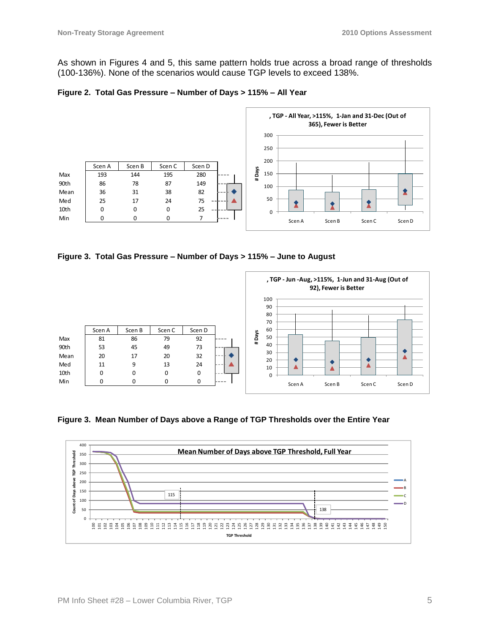As shown in Figures 4 and 5, this same pattern holds true across a broad range of thresholds (100-136%). None of the scenarios would cause TGP levels to exceed 138%.





**Figure 3. Total Gas Pressure – Number of Days > 115% – June to August**



**Figure 3. Mean Number of Days above a Range of TGP Thresholds over the Entire Year**